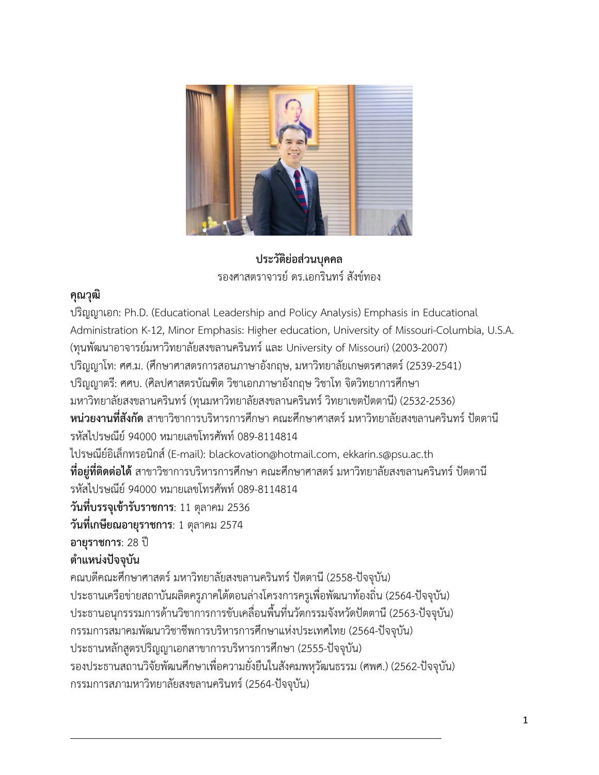

**ประวัติย่อส่วนบุคคล** รองศาสตราจารย์ดร.เอกรินทร์สังข์ทอง

### **คุณวุฒิ**

ปริญญาเอก: Ph.D. (Educational Leadership and Policy Analysis) Emphasis in Educational Administration K-12, Minor Emphasis: Higher education, University of Missouri-Columbia, U.S.A. (ทุนพัฒนาอาจารย์มหาวิทยาลัยสงขลานครินทร์และ University of Missouri) (2003-2007) ปริญญาโท: ศศ.ม. (ศึกษาศาสตรการสอนภาษาอังกฤษ, มหาวิทยาลัยเกษตรศาสตร์(2539-2541) ปริญญาตรี: ศศบ. (ศิลปศาสตรบัณฑิต วิชาเอกภาษาอังกฤษ วิชาโท จิตวิทยาการศึกษา มหาวิทยาลัยสงขลานครินทร์(ทุนมหาวิทยาลัยสงขลานครินทร์วิทยาเขตปัตตานี) (2532-2536) **หน่วยงานที่สังกัด** สาขาวิชาการบริหารการศึกษา คณะศึกษาศาสตร์มหาวิทยาลัยสงขลานครินทร์ปัตตานี รหัสไปรษณีย์ 94000 หมายเลขโทรศัพท์ 089-8114814 ไปรษณีย์อิเล็กทรอนิกส์(E-mail): blackovation@hotmail.com, ekkarin.s@psu.ac.th ี **ที่อยู่ที่ติดต่อได้** สาขาวิชาการบริหารการศึกษา คณะศึกษาศาสตร์ มหาวิทยาลัยสงขลานครินทร์ ปัตตานี รหัสไปรษณีย์ 94000 หมายเลขโทรศัพท์ 089-8114814 **วันที่บรรจุเข้ารับราชการ**: 11 ตุลาคม 2536 **วันที่เกษียณอายุราชการ**: 1 ตุลาคม 2574 **อายุราชการ**: 28 ปี **ต าแหน่งปัจจุบัน** คณบดีคณะศึกษาศาสตร์มหาวิทยาลัยสงขลานครินทร์ปัตตานี(2558-ปัจจุบัน) ประธานเครือข่ายสถาบันผลิตครูภาคใต้ตอนล่างโครงการครูเพื่อพัฒนาท้องถิ่น (2564-ปัจจุบัน) ประธานอนุกรรรมการด้านวิชาการการขับเคลื่อนพื้นที่นวัตกรรมจังหวัดปัตตานี (2563-ปัจจุบัน) กรรมการสมาคมพัฒนาวิชาชีพการบริหารการศึกษาแห่งประเทศไทย (2564-ปัจจุบัน) ประธานหลักสูตรปริญญาเอกสาขาการบริหารการศึกษา (2555-ปัจจุบัน) รองประธานสถานวิจัยพัฒนศึกษาเพื่อความยั่งยืนในสังคมพหุวัฒนธรรม (ศพศ.) (2562-ปัจจุบัน) กรรมการสภามหาวิทยาลัยสงขลานครินทร์(2564-ปัจจุบัน)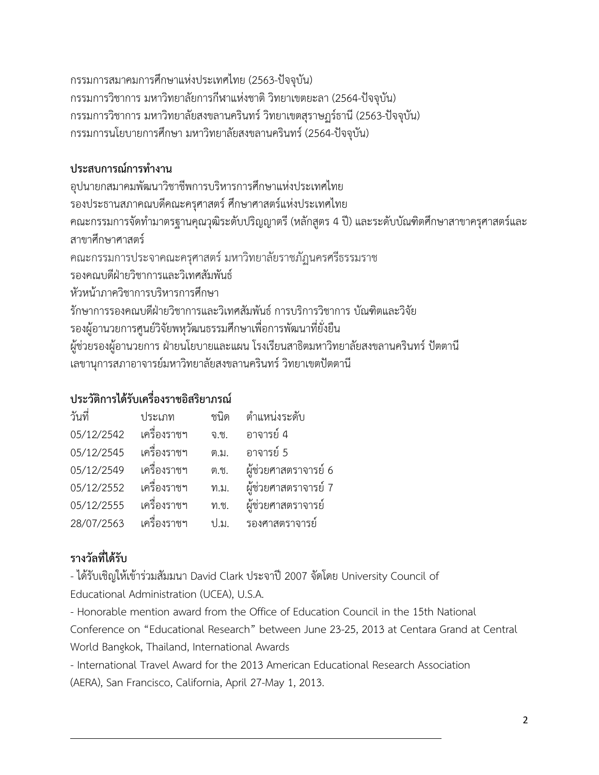กรรมการสมาคมการศึกษาแห่งประเทศไทย (2563-ปัจจุบัน) กรรมการวิชาการ มหาวิทยาลัยการกีฬาแห่งชาติ วิทยาเขตยะลา (2564-ปัจจุบัน) กรรมการวิชาการ มหาวิทยาลัยสงขลานครินทร์ วิทยาเขตสุราษฏร์ธานี (2563-ปัจจุบัน) กรรมการนโยบายการศึกษา มหาวิทยาลัยสงขลานครินทร์ (2564-ปัจจุบัน)

## ้ประสบการณ์การทำงาน

อุปนายกสมาคมพัฒนาวิชาชีพการบริหารการศึกษาแห่งประเทศไทย รองประธานสภาคณบดีคณะครุศาสตร์ศึกษาศาสตร์แห่งประเทศไทย คณะกรรมการจัดทำมาตรฐานคุณวุฒิระดับปริญญาตรี (หลักสูตร 4 ปี) และระดับบัณฑิตศึกษาสาขาครุศาสตร์และ สาขาศึกษาศาสตร์ คณะกรรมการประจาคณะครุศาสตร์มหาวิทยาลัยราชภัฏนครศรีธรรมราช รองคณบดีฝ่ายวิชาการและวิเทศสัมพันธ์ หัวหน้าภาควิชาการบริหารการศึกษา รักษาการรองคณบดีฝ่ายวิชาการและวิเทศสัมพันธ์การบริการวิชาการ บัณฑิตและวิจัย รองผู้อานวยการศูนย์วิจัยพหุวัฒนธรรมศึกษาเพื่อการพัฒนาที่ยั่งยืน ้ผู้ช่วยรองผู้อานวยการ ฝ่ายนโยบายและแผน โรงเรียนสาธิตมหาวิทยาลัยสงขลานครินทร์ ปัตตานี เลขานุการสภาอาจารย์มหาวิทยาลัยสงขลานครินทร์วิทยาเขตปัตตานี

## **ประวัติการได้รับเครื่องราชอิสริยาภรณ์**

| วันที่     | ประเภท      | ชนิด | ตำแหน่งระดับ         |
|------------|-------------|------|----------------------|
| 05/12/2542 | เครื่องราชฯ | จ.ช. | อาจารย์ 4            |
| 05/12/2545 | เครื่องราชฯ | ต.ม. | อาจารย์ 5            |
| 05/12/2549 | เครื่องราชฯ | ต.ช. | ผู้ช่วยศาสตราจารย์ 6 |
| 05/12/2552 | เครื่องราชฯ | ท.ม. | ผู้ช่วยศาสตราจารย์ 7 |
| 05/12/2555 | เครื่องราชฯ | ท.ช. | ผู้ช่วยศาสตราจารย์   |
| 28/07/2563 | เครื่องราชฯ | 9.31 | รองศาสตราจารย์       |

# **รางวัลที่ได้รับ**

- ได้รับเชิญให้เข้าร่วมสัมมนา David Clark ประจาปี2007 จัดโดย University Council of Educational Administration (UCEA), U.S.A.

- Honorable mention award from the Office of Education Council in the 15th National Conference on "Educational Research" between June 23-25, 2013 at Centara Grand at Central World Bangkok, Thailand, International Awards

- International Travel Award for the 2013 American Educational Research Association (AERA), San Francisco, California, April 27-May 1, 2013.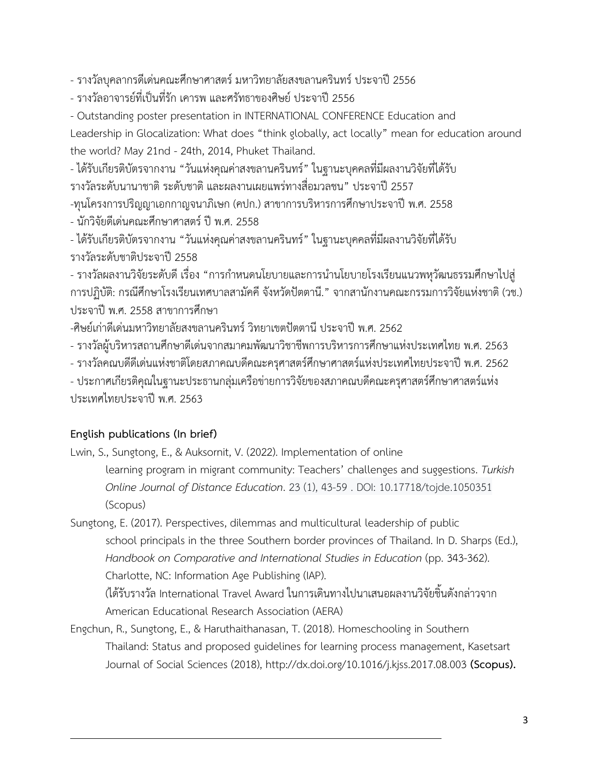- รางวัลบุคลากรดีเด่นคณะศึกษาศาสตร์ มหาวิทยาลัยสงขลานครินทร์ ประจาปี 2556

- รางวัลอาจารย์ที่เป็นที่รัก เคารพ และศรัทธาของศิษย์ ประจาปี 2556

- Outstanding poster presentation in INTERNATIONAL CONFERENCE Education and

Leadership in Glocalization: What does "think globally, act locally" mean for education around the world? May 21nd - 24th, 2014, Phuket Thailand.

- ได้รับเกียรติบัตรจากงาน "วันแห่งคุณค่าสงขลานครินทร์" ในฐานะบุคคลที่มีผลงานวิจัยที่ได้รับ รางวัลระดับนานาชาติ ระดับชาติ และผลงานเผยแพร่ทางสื่อมวลชน" ประจาปี 2557

-ทุนโครงการปริญญาเอกกาญจนาภิเษก (คปก.) สาขาการบริหารการศึกษาประจาปีพ.ศ. 2558

- นักวิจัยดีเด่นคณะศึกษาศาสตร์ ปี พ.ศ. 2558

- ได้รับเกียรติบัตรจากงาน "วันแห่งคุณค่าสงขลานครินทร์" ในฐานะบุคคลที่มีผลงานวิจัยที่ได้รับ รางวัลระดับชาติประจาปี2558

- รางวัลผลงานวิจัยระดับดี เรื่อง "การกำหนดนโยบายและการนำนโยบายโรงเรียนแนวพหุวัฒนธรรมศึกษาไปสู่ การปฏิบัติ: กรณีศึกษาโรงเรียนเทศบาลสามัคคีจังหวัดปัตตานี." จากสานักงานคณะกรรมการวิจัยแห่งชาติ(วช.) ประจาปีพ.ศ. 2558 สาขาการศึกษา

-ศิษย์เก่าดีเด่นมหาวิทยาลัยสงขลานครินทร์ วิทยาเขตปัตตานี ประจาปี พ.ศ. 2562

- รางวัลผู้บริหารสถานศึกษาดีเด่นจากสมาคมพัฒนาวิชาชีพการบริหารการศึกษาแห่งประเทศไทย พ.ศ. 2563

- รางวัลคณบดีดีเด่นแห่งชาติโดยสภาคณบดีคณะครุศาสตร์ศึกษาศาสตร์แห่งประเทศไทยประจาปีพ.ศ. 2562

- ประกาศเกียรติคุณในฐานะประธานกลุ่มเครือข่ายการวิจัยของสภาคณบดีคณะครุศาสตร์ศึกษาศาสตร์แห่ง ประเทศไทยประจาปีพ.ศ. 2563

### **English publications (In brief)**

Lwin, S., Sungtong, E., & Auksornit, V. (2022). Implementation of online learning program in migrant community: Teachers' challenges and suggestions. *Turkish Online Journal of Distance Education*. 23 (1), 43-59 . DOI: 10.17718/tojde.1050351 (Scopus)

Sungtong, E. (2017). Perspectives, dilemmas and multicultural leadership of public school principals in the three Southern border provinces of Thailand. In D. Sharps (Ed.), Handbook on Comparative and International Studies in Education (pp. 343-362). Charlotte, NC: Information Age Publishing (IAP). (ได้รับรางวัล International Travel Award ในการเดินทางไปนาเสนอผลงานวิจัยชิ้นดังกล่าวจาก

American Educational Research Association (AERA)

Engchun, R., Sungtong, E., & Haruthaithanasan, T. (2018). Homeschooling in Southern Thailand: Status and proposed guidelines for learning process management, Kasetsart Journal of Social Sciences (2018), http://dx.doi.org/10.1016/j.kjss.2017.08.003 **(Scopus).**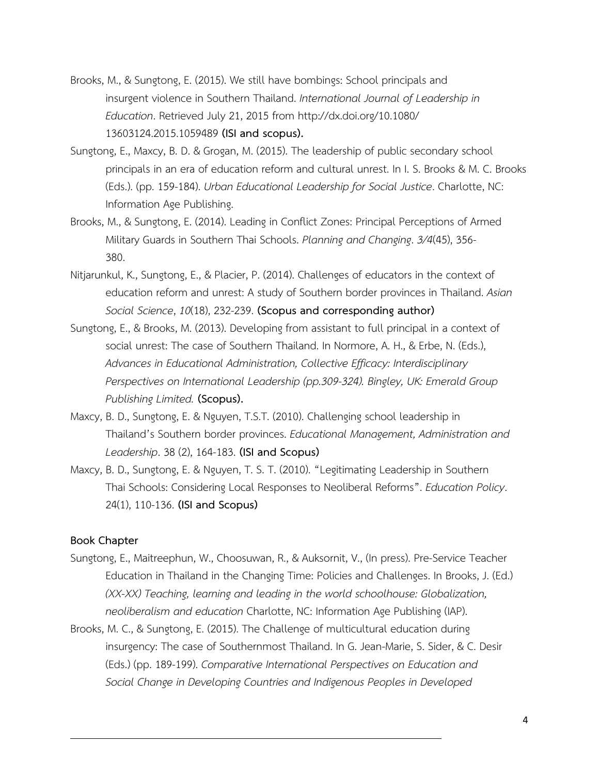- Brooks, M., & Sungtong, E. (2015). We still have bombings: School principals and insurgent violence in Southern Thailand. *International Journal of Leadership in Education*. Retrieved July 21, 2015 from http://dx.doi.org/10.1080/ 13603124.2015.1059489 **(ISI and scopus).**
- Sungtong, E., Maxcy, B. D. & Grogan, M. (2015). The leadership of public secondary school principals in an era of education reform and cultural unrest. In I. S. Brooks & M. C. Brooks (Eds.). (pp. 159-184). *Urban Educational Leadership for Social Justice*. Charlotte, NC: Information Age Publishing.
- Brooks, M., & Sungtong, E. (2014). Leading in Conflict Zones: Principal Perceptions of Armed Military Guards in Southern Thai Schools. *Planning and Changing*. *3/4*(45), 356- 380.
- Nitjarunkul, K., Sungtong, E., & Placier, P. (2014). Challenges of educators in the context of education reform and unrest: A study of Southern border provinces in Thailand. *Asian Social Science*, *10*(18), 232-239. **(Scopus and corresponding author)**
- Sungtong, E., & Brooks, M. (2013). Developing from assistant to full principal in a context of social unrest: The case of Southern Thailand. In Normore, A. H., & Erbe, N. (Eds.), *Advances in Educational Administration, Collective Efficacy: Interdisciplinary Perspectives on International Leadership (pp.309-324). Bingley, UK: Emerald Group Publishing Limited.* **(Scopus).**
- Maxcy, B. D., Sungtong, E. & Nguyen, T.S.T. (2010). Challenging school leadership in Thailand's Southern border provinces. *Educational Management, Administration and Leadership*. 38 (2), 164-183. **(ISI and Scopus)**
- Maxcy, B. D., Sungtong, E. & Nguyen, T. S. T. (2010). "Legitimating Leadership in Southern Thai Schools: Considering Local Responses to Neoliberal Reforms". *Education Policy*. 24(1), 110-136. **(ISI and Scopus)**

#### **Book Chapter**

- Sungtong, E., Maitreephun, W., Choosuwan, R., & Auksornit, V., (In press). Pre-Service Teacher Education in Thailand in the Changing Time: Policies and Challenges. In Brooks, J. (Ed.) *(XX-XX) Teaching, learning and leading in the world schoolhouse: Globalization, neoliberalism and education* Charlotte, NC: Information Age Publishing (IAP).
- Brooks, M. C., & Sungtong, E. (2015). The Challenge of multicultural education during insurgency: The case of Southernmost Thailand. In G. Jean-Marie, S. Sider, & C. Desir (Eds.) (pp. 189-199). *Comparative International Perspectives on Education and Social Change in Developing Countries and Indigenous Peoples in Developed*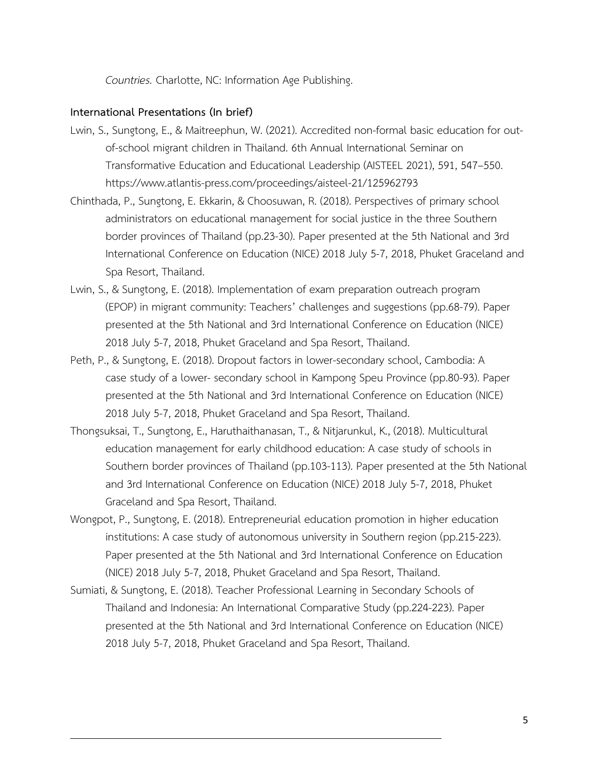*Countries.* Charlotte, NC: Information Age Publishing.

#### **International Presentations (In brief)**

- Lwin, S., Sungtong, E., & Maitreephun, W. (2021). Accredited non-formal basic education for outof-school migrant children in Thailand. 6th Annual International Seminar on Transformative Education and Educational Leadership (AISTEEL 2021), 591, 547–550. https://www.atlantis-press.com/proceedings/aisteel-21/125962793
- Chinthada, P., Sungtong, E. Ekkarin, & Choosuwan, R. (2018). Perspectives of primary school administrators on educational management for social justice in the three Southern border provinces of Thailand (pp.23-30). Paper presented at the 5th National and 3rd International Conference on Education (NICE) 2018 July 5-7, 2018, Phuket Graceland and Spa Resort, Thailand.
- Lwin, S., & Sungtong, E. (2018). Implementation of exam preparation outreach program (EPOP) in migrant community: Teachers' challenges and suggestions (pp.68-79). Paper presented at the 5th National and 3rd International Conference on Education (NICE) 2018 July 5-7, 2018, Phuket Graceland and Spa Resort, Thailand.
- Peth, P., & Sungtong, E. (2018). Dropout factors in lower-secondary school, Cambodia: A case study of a lower- secondary school in Kampong Speu Province (pp.80-93). Paper presented at the 5th National and 3rd International Conference on Education (NICE) 2018 July 5-7, 2018, Phuket Graceland and Spa Resort, Thailand.
- Thongsuksai, T., Sungtong, E., Haruthaithanasan, T., & Nitjarunkul, K., (2018). Multicultural education management for early childhood education: A case study of schools in Southern border provinces of Thailand (pp.103-113). Paper presented at the 5th National and 3rd International Conference on Education (NICE) 2018 July 5-7, 2018, Phuket Graceland and Spa Resort, Thailand.
- Wongpot, P., Sungtong, E. (2018). Entrepreneurial education promotion in higher education institutions: A case study of autonomous university in Southern region (pp.215-223). Paper presented at the 5th National and 3rd International Conference on Education (NICE) 2018 July 5-7, 2018, Phuket Graceland and Spa Resort, Thailand.
- Sumiati, & Sungtong, E. (2018). Teacher Professional Learning in Secondary Schools of Thailand and Indonesia: An International Comparative Study (pp.224-223). Paper presented at the 5th National and 3rd International Conference on Education (NICE) 2018 July 5-7, 2018, Phuket Graceland and Spa Resort, Thailand.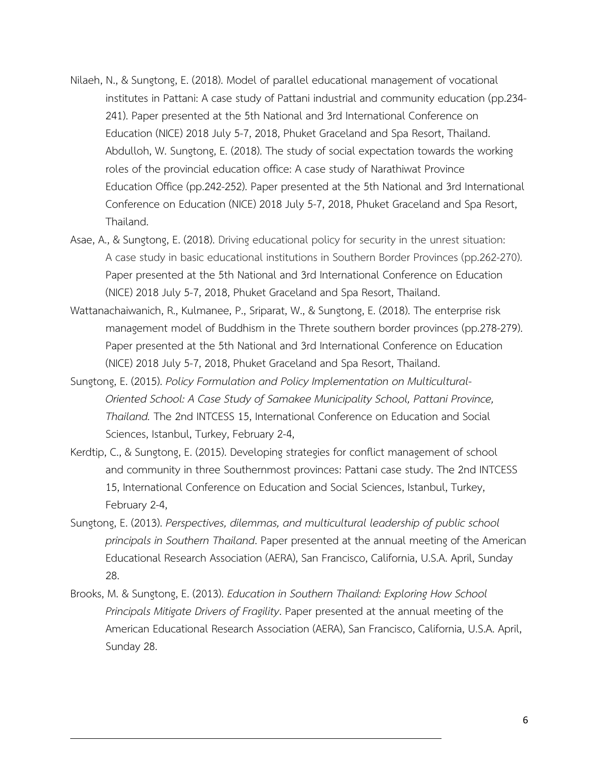- Nilaeh, N., & Sungtong, E. (2018). Model of parallel educational management of vocational institutes in Pattani: A case study of Pattani industrial and community education (pp.234- 241). Paper presented at the 5th National and 3rd International Conference on Education (NICE) 2018 July 5-7, 2018, Phuket Graceland and Spa Resort, Thailand. Abdulloh, W. Sungtong, E. (2018). The study of social expectation towards the working roles of the provincial education office: A case study of Narathiwat Province Education Office (pp.242-252). Paper presented at the 5th National and 3rd International Conference on Education (NICE) 2018 July 5-7, 2018, Phuket Graceland and Spa Resort, Thailand.
- Asae, A., & Sungtong, E. (2018). Driving educational policy for security in the unrest situation: A case study in basic educational institutions in Southern Border Provinces (pp.262-270). Paper presented at the 5th National and 3rd International Conference on Education (NICE) 2018 July 5-7, 2018, Phuket Graceland and Spa Resort, Thailand.
- Wattanachaiwanich, R., Kulmanee, P., Sriparat, W., & Sungtong, E. (2018). The enterprise risk management model of Buddhism in the Threte southern border provinces (pp.278-279). Paper presented at the 5th National and 3rd International Conference on Education (NICE) 2018 July 5-7, 2018, Phuket Graceland and Spa Resort, Thailand.
- Sungtong, E. (2015). *Policy Formulation and Policy Implementation on Multicultural-Oriented School: A Case Study of Samakee Municipality School, Pattani Province, Thailand.* The 2nd INTCESS 15, International Conference on Education and Social Sciences, Istanbul, Turkey, February 2-4,
- Kerdtip, C., & Sungtong, E. (2015). Developing strategies for conflict management of school and community in three Southernmost provinces: Pattani case study. The 2nd INTCESS 15, International Conference on Education and Social Sciences, Istanbul, Turkey, February 2-4,
- Sungtong, E. (2013). *Perspectives, dilemmas, and multicultural leadership of public school principals in Southern Thailand*. Paper presented at the annual meeting of the American Educational Research Association (AERA), San Francisco, California, U.S.A. April, Sunday 28.
- Brooks, M. & Sungtong, E. (2013). *Education in Southern Thailand: Exploring How School Principals Mitigate Drivers of Fragility*. Paper presented at the annual meeting of the American Educational Research Association (AERA), San Francisco, California, U.S.A. April, Sunday 28.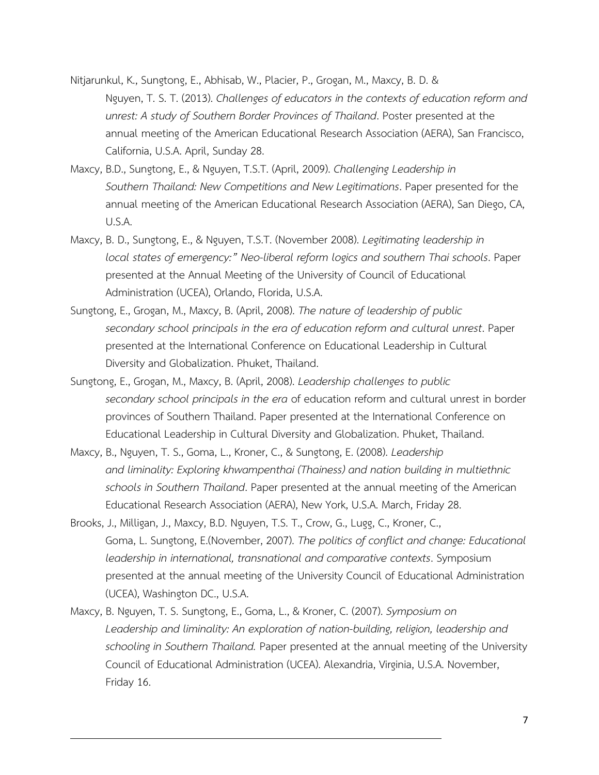- Nitjarunkul, K., Sungtong, E., Abhisab, W., Placier, P., Grogan, M., Maxcy, B. D. & Nguyen, T. S. T. (2013). *Challenges of educators in the contexts of education reform and unrest: A study of Southern Border Provinces of Thailand*. Poster presented at the annual meeting of the American Educational Research Association (AERA), San Francisco, California, U.S.A. April, Sunday 28.
- Maxcy, B.D., Sungtong, E., & Nguyen, T.S.T. (April, 2009). *Challenging Leadership in Southern Thailand: New Competitions and New Legitimations*. Paper presented for the annual meeting of the American Educational Research Association (AERA), San Diego, CA, U.S.A.
- Maxcy, B. D., Sungtong, E., & Nguyen, T.S.T. (November 2008). *Legitimating leadership in local states of emergency:" Neo-liberal reform logics and southern Thai schools*. Paper presented at the Annual Meeting of the University of Council of Educational Administration (UCEA), Orlando, Florida, U.S.A.
- Sungtong, E., Grogan, M., Maxcy, B. (April, 2008). *The nature of leadership of public secondary school principals in the era of education reform and cultural unrest*. Paper presented at the International Conference on Educational Leadership in Cultural Diversity and Globalization. Phuket, Thailand.
- Sungtong, E., Grogan, M., Maxcy, B. (April, 2008). *Leadership challenges to public secondary school principals in the era* of education reform and cultural unrest in border provinces of Southern Thailand. Paper presented at the International Conference on Educational Leadership in Cultural Diversity and Globalization. Phuket, Thailand.
- Maxcy, B., Nguyen, T. S., Goma, L., Kroner, C., & Sungtong, E. (2008). *Leadership and liminality: Exploring khwampenthai (Thainess) and nation building in multiethnic schools in Southern Thailand*. Paper presented at the annual meeting of the American Educational Research Association (AERA), New York, U.S.A. March, Friday 28.
- Brooks, J., Milligan, J., Maxcy, B.D. Nguyen, T.S. T., Crow, G., Lugg, C., Kroner, C., Goma, L. Sungtong, E.(November, 2007). *The politics of conflict and change: Educational leadership in international, transnational and comparative contexts*. Symposium presented at the annual meeting of the University Council of Educational Administration (UCEA), Washington DC., U.S.A.
- Maxcy, B. Nguyen, T. S. Sungtong, E., Goma, L., & Kroner, C. (2007). *Symposium on Leadership and liminality: An exploration of nation-building, religion, leadership and schooling in Southern Thailand.* Paper presented at the annual meeting of the University Council of Educational Administration (UCEA). Alexandria, Virginia, U.S.A. November, Friday 16.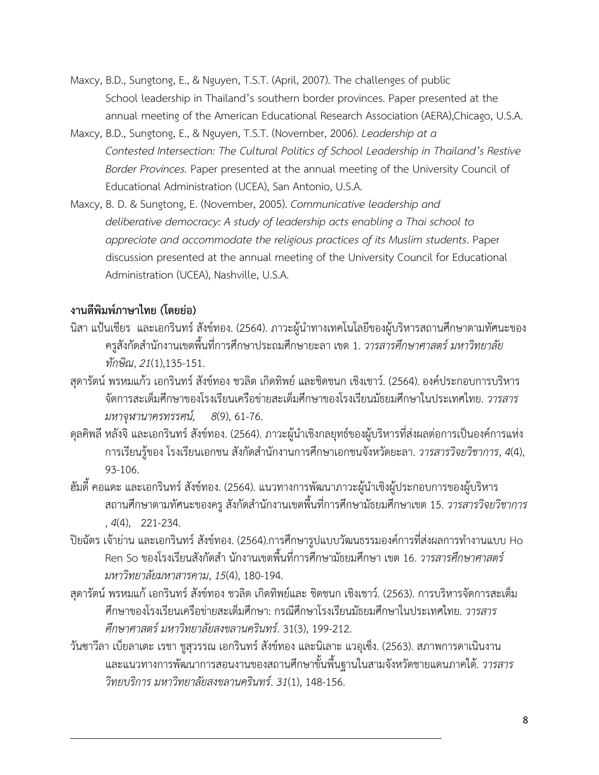- Maxcy, B.D., Sungtong, E., & Nguyen, T.S.T. (April, 2007). The challenges of public School leadership in Thailand's southern border provinces. Paper presented at the annual meeting of the American Educational Research Association (AERA),Chicago, U.S.A.
- Maxcy, B.D., Sungtong, E., & Nguyen, T.S.T. (November, 2006). *Leadership at a Contested Intersection: The Cultural Politics of School Leadership in Thailand's Restive Border Provinces.* Paper presented at the annual meeting of the University Council of Educational Administration (UCEA), San Antonio, U.S.A.
- Maxcy, B. D. & Sungtong, E. (November, 2005). *Communicative leadership and deliberative democracy: A study of leadership acts enabling a Thai school to appreciate and accommodate the religious practices of its Muslim students*. Paper discussion presented at the annual meeting of the University Council for Educational Administration (UCEA), Nashville, U.S.A.

### **งานตีพิมพ์ภาษาไทย (โดยย่อ)**

- นิสา แป้นเชียร และเอกรินทร์ สังข์ทอง. (2564). ภาวะผู้นำทางเทคโนโลยีของผู้บริหารสถานศึกษาตามทัศนะของ ครูสังกัดส านักงานเขตพื้นที่การศึกษาประถมศึกษายะลา เขต 1. *วารสารศึกษาศาสตร์ มหาวิทยาลัย ทักษิณ*, *21*(1),135-151.
- สุดารัตน์ พรหมแก้ว เอกรินทร์ สังข์ทอง ชวลิต เกิดทิพย์ และชิดชนก เชิงเชาว์. (2564).องค์ประกอบการบริหาร จัดการสะเต็มศึกษาของโรงเรียนเครือข่ายสะเต็มศึกษาของโรงเรียนมัธยมศึกษาในประเทศไทย. *วารสาร มหาจุฬานาครทรรศน์, 8*(9), 61-76.
- ดุลคิพลี หลังจิ และเอกรินทร์ สังข์ทอง. (2564). ภาวะผู้นำเชิงกลยุทธ์ของผู้บริหารที่ส่งผลต่อการเป็นองค์การแห่ง การเรียนรู้ของ โรงเรียนเอกชน สังกัดส านักงานการศึกษาเอกชนจังหวัดยะลา. *วารสารวิจยวิชาการ*, *4*(4), 93-106.
- ้ฮัมดี้ คอแดะ และเอกรินทร์ สังข์ทอง. (2564). แนวทางการพัฒนาภาวะผู้นำเชิงผู้ประกอบการของผู้บริหาร ิสถานศึกษาตามทัศนะของครู สังกัดสำนักงานเขตพื้นที่การศึกษามัธยมศึกษาเขต 15. *วารสารวิจยวิชาการ* , *4*(4), 221-234.
- ปิยฉัตร เจ้าย่าน และเอกรินทร์ สังข์ทอง. (2564).การศึกษารูปแบบวัฒนธรรมองค์การที่ส่งผลการทำงานแบบ Ho .<br>Ren So ของโรงเรียนสังกัดสำ นักงานเขตพื้นที่การศึกษามัธยมศึกษา เขต 16. *วารสารศึกษาศาสตร์ มหาวิทยาลัยมหาสารคาม*, *15*(4), 180-194.
- สุดารัตน์ พรหมแก้ เอกรินทร์ สังข์ทอง ชวลิต เกิดทิพย์และ ชิดชนก เชิงเชาว์. (2563). การบริหารจัดการสะเต็ม ศึกษาของโรงเรียนเครือข่ายสะเต็มศึกษา: กรณีศึกษาโรงเรียนมัธยมศึกษาในประเทศไทย. *วารสาร ศึกษาศาสตร์มหาวิทยาลัยสงขลานครินทร์*. 31(3), 199-212.
- วันซาวีลา เบ็ยลาเตะ เรชา ชูสุวรรณ เอกรินทร์สังข์ทอง และนิเลาะ แวอุเซ็ง. (2563). สภาพการดาเนินงาน และแนวทางการพัฒนาการสอนงานของสถานศึกษาขั้นพื้นฐานในสามจังหวัดชายแดนภาคใต้. *วารสาร วิทยบริการ มหาวิทยาลัยสงขลานครินทร์*. *31*(1), 148-156.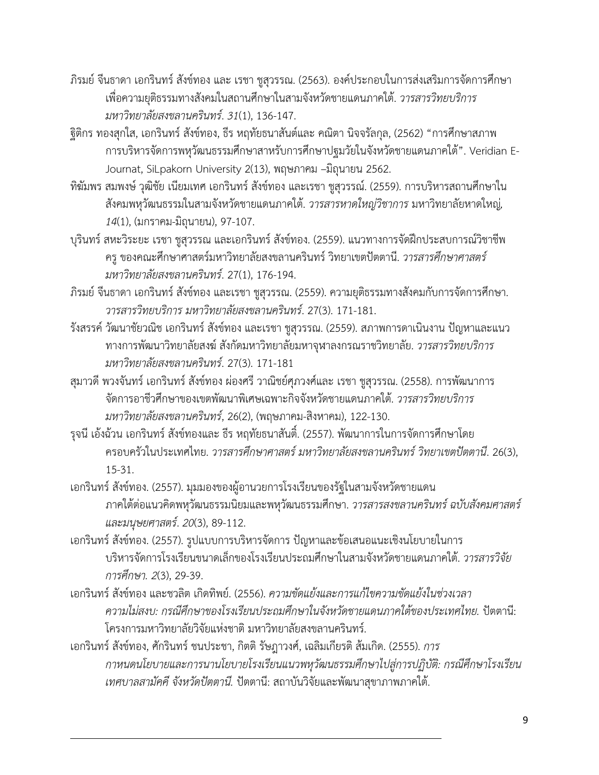- ภิรมย์จีนธาดา เอกรินทร์สังข์ทอง และ เรชา ชูสุวรรณ. (2563). องค์ประกอบในการส่งเสริมการจัดการศึกษา เพื่อความยุติธรรมทางสังคมในสถานศึกษาในสามจังหวัดชายแดนภาคใต้. *วารสารวิทยบริการ มหาวิทยาลัยสงขลานครินทร์*. *31*(1), 136-147.
- ฐิติกร ทองสุกใส, เอกรินทร์สังข์ทอง, ธีร หฤทัยธนาสันต์และ คณิตา นิจจรัลกุล, (2562) "การศึกษาสภาพ การบริหารจัดการพหุวัฒนธรรมศึกษาสาหรับการศึกษาปฐมวัยในจังหวัดชายแดนภาคใต้". Veridian E-Journat, SiLpakorn University 2(13), พฤษภาคม –มิถุนายน 2562.
- ทิฆัมพร สมพงษ์วุฒิชัย เนียมเทศ เอกรินทร์สังข์ทอง และเรชา ชูสุวรรณ์. (2559). การบริหารสถานศึกษาใน สังคมพหุวัฒนธรรมในสามจังหวัดชายแดนภาคใต้. *วารสารหาดใหญ่วิชาการ* มหาวิทยาลัยหาดใหญ่*, 14*(1), (มกราคม-มิถุนายน), 97-107.
- บุรินทร์สหะวิระยะ เรชา ชูสุวรรณ และเอกรินทร์สังข์ทอง. (2559). แนวทางการจัดฝึกประสบการณ์วิชาชีพ ครูของคณะศึกษาศาสตร์มหาวิทยาลัยสงขลานครินทร์วิทยาเขตปัตตานี. *วารสารศึกษาศาสตร์ มหาวิทยาลัยสงขลานครินทร์*. 27(1), 176-194.
- ภิรมย์จีนธาดา เอกรินทร์สังข์ทอง และเรชา ชูสุวรรณ. (2559). ความยุติธรรมทางสังคมกับการจัดการศึกษา. *วารสารวิทยบริการ มหาวิทยาลัยสงขลานครินทร์*. 27(3). 171-181.
- รังสรรค์วัฒนาชัยวณิช เอกรินทร์สังข์ทอง และเรชา ชูสุวรรณ. (2559). สภาพการดาเนินงาน ปัญหาและแนว ทางการพัฒนาวิทยาลัยสงฆ์สังกัดมหาวิทยาลัยมหาจุฬาลงกรณราชวิทยาลัย. *วารสารวิทยบริการ มหาวิทยาลัยสงขลานครินทร์*. 27(3). 171-181
- สุมาวดี พวงจันทร์ เอกรินทร์ สังข์ทอง ผ่องศรี วาณิชย์ศุภวงศ์และ เรชา ชูสุวรรณ. (2558). การพัฒนาการ จัดการอาชีวศึกษาของเขตพัฒนาพิเศษเฉพาะกิจจังหวัดชายแดนภาคใต้. *วารสารวิทยบริการ มหาวิทยาลัยสงขลานครินทร์*, 26(2), (พฤษภาคม-สิงหาคม), 122-130.
- รุจนีเอ้งฉ้วน เอกรินทร์สังข์ทองและ ธีร หฤทัยธนาสันติ์. (2557). พัฒนาการในการจัดการศึกษาโดย ครอบครัวในประเทศไทย. *วารสารศึกษาศาสตร์มหาวิทยาลัยสงขลานครินทร์วิทยาเขตปัตตานี*. 26(3), 15-31.
- เอกรินทร์สังข์ทอง. (2557). มุมมองของผู้อานวยการโรงเรียนของรัฐในสามจังหวัดชายแดน ภาคใต้ต่อแนวคิดพหุวัฒนธรรมนิยมและพหุวัฒนธรรมศึกษา. *วารสารสงขลานครินทร์ฉบับสังคมศาสตร์ และมนุษยศาสตร์*. *20*(3), 89-112.
- เอกรินทร์สังข์ทอง. (2557). รูปแบบการบริหารจัดการ ปัญหาและข้อเสนอแนะเชิงนโยบายในการ บริหารจัดการโรงเรียนขนาดเล็กของโรงเรียนประถมศึกษาในสามจังหวัดชายแดนภาคใต้. *วารสารวิจัย การศึกษา. 2*(3), 29-39.
- เอกรินทร์สังข์ทอง และชวลิต เกิดทิพย์. (2556). *ความขัดแย้งและการแก้ไขความขัดแย้งในช่วงเวลา ความไม่สงบ: กรณีศึกษาของโรงเรียนประถมศึกษาในจังหวัดชายแดนภาคใต้ของประเทศไทย.* ปัตตานี: โครงการมหาวิทยาลัยวิจัยแห่งชาติมหาวิทยาลัยสงขลานครินทร์.
- เอกรินทร์สังข์ทอง, ศักรินทร์ชนประชา, กิตติรัษฎาวงศ์, เฉลิมเกียรติส้มเกิด. (2555). *การ กาหนดนโยบายและการนานโยบายโรงเรียนแนวพหุวัฒนธรรมศึกษาไปสู่การปฏิบัติ: กรณีศึกษาโรงเรียน เทศบาลสามัคคีจังหวัดปัตตานี.* ปัตตานี: สถาบันวิจัยและพัฒนาสุขาภาพภาคใต้.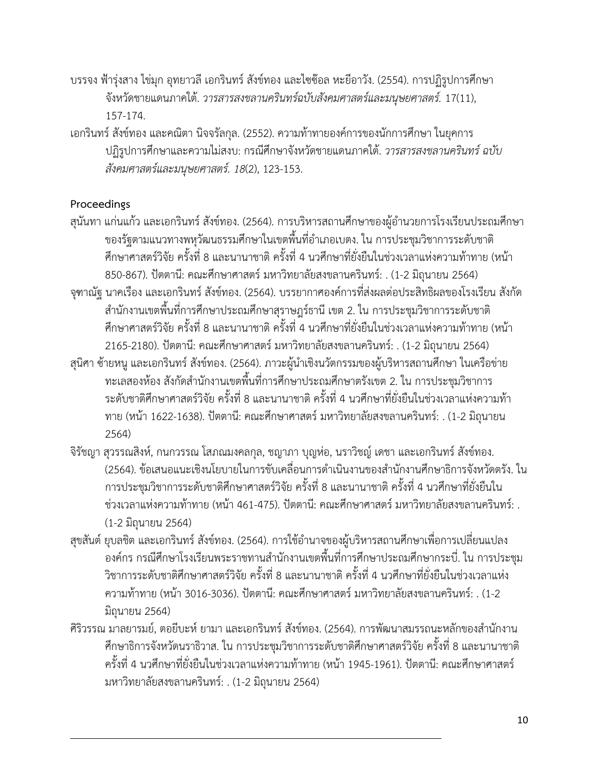- บรรจง ฟ้ารุ่งสาง ไข่มุก อุทยาวลีเอกรินทร์สังข์ทอง และไซซ๊อล หะยีอาวัง. (2554). การปฏิรูปการศึกษา จังหวัดชายแดนภาคใต้. *วารสารสงขลานครินทร์ฉบับสังคมศาสตร์และมนุษยศาสตร์.* 17(11), 157-174.
- เอกรินทร์สังข์ทอง และคณิตา นิจจรัลกุล. (2552). ความท้าทายองค์การของนักการศึกษา ในยุคการ ปฏิรูปการศึกษาและความไม่สงบ: กรณีศึกษาจังหวัดชายแดนภาคใต้. *วารสารสงขลานครินทร์ฉบับ สังคมศาสตร์และมนุษยศาสตร์. 18*(2), 123-153.

## **Proceedings**

- สุนันทา แก่นแก้ว และเอกรินทร์ สังข์ทอง. (2564). การบริหารสถานศึกษาของผู้อำนวยการโรงเรียนประถมศึกษา ่ ของรัฐตามแนวทางพหุวัฒนธรรมศึกษาในเขตพื้นที่อำเภอเบตง. ใน การประชุมวิชาการระดับชาติ ศึกษาศาสตร์วิจัย ครั้งที่ 8 และนานาชาติ ครั้งที่ 4 นวศึกษาที่ยั่งยืนในช่วงเวลาแห่งความท้าทาย (หน้า 850-867). ปัตตานี: คณะศึกษาศาสตร์ มหาวิทยาลัยสงขลานครินทร์: . (1-2 มิถุนายน 2564)
- จุฑาณัฐ นาคเรือง และเอกรินทร์ สังข์ทอง. (2564). บรรยากาศองค์การที่ส่งผลต่อประสิทธิผลของโรงเรียน สังกัด ส านักงานเขตพื้นที่การศึกษาประถมศึกษาสุราษฎร์ธานี เขต 2. ใน การประชุมวิชาการระดับชาติ ศึกษาศาสตร์วิจัย ครั้งที่ 8 และนานาชาติ ครั้งที่ 4 นวศึกษาที่ยั่งยืนในช่วงเวลาแห่งความท้าทาย (หน้า 2165-2180). ปัตตานี: คณะศึกษาศาสตร์ มหาวิทยาลัยสงขลานครินทร์: . (1-2 มิถุนายน 2564)
- สุนิศา ซ้ายหนู และเอกรินทร์ สังข์ทอง. (2564). ภาวะผู้นำเชิงนวัตกรรมของผู้บริหารสถานศึกษา ในเครือข่าย ่ ทะเลสองห้อง สังกัดสำนักงานเขตพื้นที่การศึกษาประถมศึกษาตรังเขต 2. ใน การประชุมวิชาการ ระดับชาติศึกษาศาสตร์วิจัย ครั้งที่ 8 และนานาชาติ ครั้งที่ 4 นวศึกษาที่ยั่งยืนในช่วงเวลาแห่งความท้า ทาย (หน้า 1622-1638). ปัตตานี: คณะศึกษาศาสตร์ มหาวิทยาลัยสงขลานครินทร์: . (1-2 มิถุนายน 2564)
- จิรัชญา สุวรรณสิงห์, กนกวรรณ โสภณมงคลกุล, ชญาภา บุญห่อ, นราวิชญ์ เดชา และเอกรินทร์ สังข์ทอง. (2564). ข้อเสนอแนะเชิงนโยบายในการขับเคลื่อนการดำเนินงานของสำนักงานศึกษาธิการจังหวัดตรัง. ใน การประชุมวิชาการระดับชาติศึกษาศาสตร์วิจัย ครั้งที่ 8 และนานาชาติ ครั้งที่ 4 นวศึกษาที่ยั่งยืนใน ช่วงเวลาแห่งความท้าทาย (หน้า 461-475). ปัตตานี: คณะศึกษาศาสตร์ มหาวิทยาลัยสงขลานครินทร์: . (1-2 มิถุนายน 2564)
- ี่ สุขสันต์ ยุบลชิต และเอกรินทร์ สังข์ทอง. (2564). การใช้อำนาจของผู้บริหารสถานศึกษาเพื่อการเปลี่ยนแปลง องค์กร กรณีศึกษาโรงเรียนพระราชทานสำนักงานเขตพื้นที่การศึกษาประถมศึกษากระบี่. ใน การประชุม วิชาการระดับชาติศึกษาศาสตร์วิจัย ครั้งที่ 8 และนานาชาติ ครั้งที่ 4 นวศึกษาที่ยั่งยืนในช่วงเวลาแห่ง ความท้าทาย (หน้า 3016-3036). ปัตตานี: คณะศึกษาศาสตร์ มหาวิทยาลัยสงขลานครินทร์: . (1-2 มิถนายน 2564)
- ศิริวรรณ มาลยารมย์, ตอยีบะห์ ยามา และเอกรินทร์ สังข์ทอง. (2564). การพัฒนาสมรรถนะหลักของสำนักงาน ศึกษาธิการจังหวัดนราธิวาส. ใน การประชุมวิชาการระดับชาติศึกษาศาสตร์วิจัย ครั้งที่ 8 และนานาชาติ ครั้งที่ 4 นวศึกษาที่ยั่งยืนในช่วงเวลาแห่งความท้าทาย (หน้า 1945-1961). ปัตตานี: คณะศึกษาศาสตร์ มหาวิทยาลัยสงขลานครินทร์: . (1-2 มิถุนายน 2564)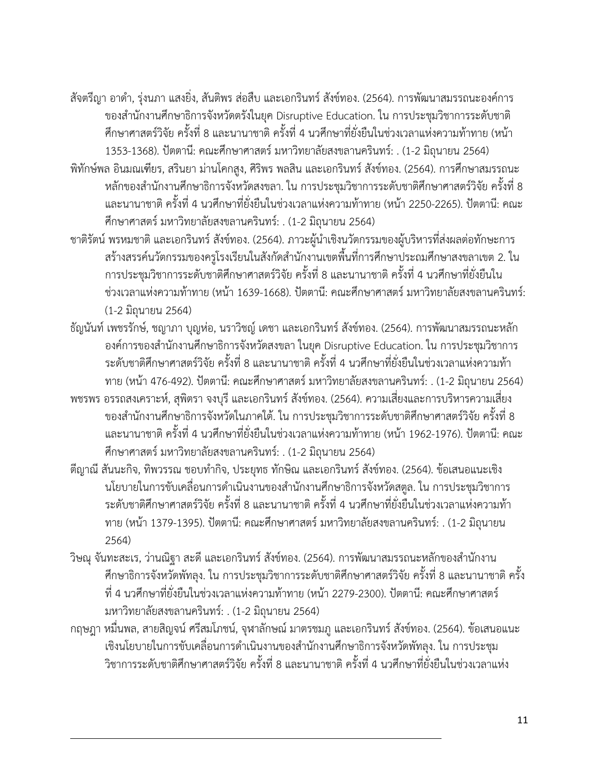- ู้สัจตรีญา อาดำ, รุ่งนภา แสงยิ่ง, สันติพร ส่อสืบ และเอกรินทร์ สังข์ทอง. (2564). การพัฒนาสมรรถนะองค์การ ของสำนักงานศึกษาธิการจังหวัดตรังในยุค Disruptive Education. ใน การประชุมวิชาการระดับชาติ ศึกษาศาสตร์วิจัย ครั้งที่ 8 และนานาชาติ ครั้งที่ 4 นวศึกษาที่ยั่งยืนในช่วงเวลาแห่งความท้าทาย (หน้า 1353-1368). ปัตตานี: คณะศึกษาศาสตร์ มหาวิทยาลัยสงขลานครินทร์: . (1-2 มิถุนายน 2564)
- พิทักษ์พล อินมณเฑียร, สรินยา ม่านโคกสูง, ศิริพร พลสิน และเอกรินทร์ สังข์ทอง. (2564). การศึกษาสมรรถนะ ิ หลักของสำนักงานศึกษาธิการจังหวัดสงขลา. ใน การประชุมวิชาการระดับชาติศึกษาศาสตร์วิจัย ครั้งที่ 8 และนานาชาติ ครั้งที่ 4 นวศึกษาที่ยั่งยืนในช่วงเวลาแห่งความท้าทาย (หน้า 2250-2265). ปัตตานี: คณะ ศึกษาศาสตร์ มหาวิทยาลัยสงขลานครินทร์: . (1-2 มิถุนายน 2564)
- ชาติรัตน์ พรหมชาติ และเอกรินทร์ สังข์ทอง. (2564). ภาวะผู้นำเชิงนวัตกรรมของผู้บริหารที่ส่งผลต่อทักษะการ สร้างสรรค์นวัตกรรมของครูโรงเรียนในสังกัดสำนักงานเขตพื้นที่การศึกษาประถมศึกษาสงขลาเขต 2. ใน การประชุมวิชาการระดับชาติศึกษาศาสตร์วิจัย ครั้งที่ 8 และนานาชาติ ครั้งที่ 4 นวศึกษาที่ยั่งยืนใน ช่วงเวลาแห่งความท้าทาย (หน้า 1639-1668). ปัตตานี: คณะศึกษาศาสตร์ มหาวิทยาลัยสงขลานครินทร์: (1-2 มิถุนายน 2564)
- ธัญนันท์ เพชรรักษ์, ชญาภา บุญห่อ, นราวิชญ์ เดชา และเอกรินทร์ สังข์ทอง. (2564). การพัฒนาสมรรถนะหลัก องค์การของสำนักงานศึกษาธิการจังหวัดสงขลา ในยุค Disruptive Education. ใน การประชุมวิชาการ ระดับชาติศึกษาศาสตร์วิจัย ครั้งที่ 8 และนานาชาติ ครั้งที่ 4 นวศึกษาที่ยั่งยืนในช่วงเวลาแห่งความท้า ทาย (หน้า 476-492). ปัตตานี: คณะศึกษาศาสตร์ มหาวิทยาลัยสงขลานครินทร์: . (1-2 มิถุนายน 2564)
- พชรพร อรรถสงเคราะห์, สุพิตรา จงบุรี และเอกรินทร์ สังข์ทอง. (2564). ความเสี่ยงและการบริหารความเสี่ยง ของส านักงานศึกษาธิการจังหวัดในภาคใต้. ใน การประชุมวิชาการระดับชาติศึกษาศาสตร์วิจัย ครั้งที่ 8 และนานาชาติ ครั้งที่ 4 นวศึกษาที่ยั่งยืนในช่วงเวลาแห่งความท้าทาย (หน้า 1962-1976). ปัตตานี: คณะ ศึกษาศาสตร์ มหาวิทยาลัยสงขลานครินทร์: . (1-2 มิถุนายน 2564)
- ตีญาณี สันนะกิจ, ทิพวรรณ ชอบทำกิจ, ประยุทธ ทักษิณ และเอกรินทร์ สังข์ทอง. (2564). ข้อเสนอแนะเชิง ้นโยบายในการขับเคลื่อนการดำเนินงานของสำนักงานศึกษาธิการจังหวัดสตูล. ใน การประชุมวิชาการ ระดับชาติศึกษาศาสตร์วิจัย ครั้งที่ 8 และนานาชาติ ครั้งที่ 4 นวศึกษาที่ยั่งยืนในช่วงเวลาแห่งความท้า ทาย (หน้า 1379-1395). ปัตตานี: คณะศึกษาศาสตร์ มหาวิทยาลัยสงขลานครินทร์: . (1-2 มิถุนายน 2564)
- วิษณุ จันทะสะเร, ว่านณิฐา สะดี และเอกรินทร์ สังข์ทอง. (2564). การพัฒนาสมรรถนะหลักของสำนักงาน ศึกษาธิการจังหวัดพัทลุง. ใน การประชุมวิชาการระดับชาติศึกษาศาสตร์วิจัย ครั้งที่ 8 และนานาชาติ ครั้ง ที่ 4 นวศึกษาที่ยั่งยืนในช่วงเวลาแห่งความท้าทาย (หน้า 2279-2300). ปัตตานี: คณะศึกษาศาสตร์ มหาวิทยาลัยสงขลานครินทร์: . (1-2 มิถุนายน 2564)
- กฤษฎา หมื่นพล, สายสิญจน์ ศรีสมโภชน์, จุฬาลักษณ์ มาตรชมภู และเอกรินทร์ สังข์ทอง. (2564). ข้อเสนอแนะ เชิงนโยบายในการขับเคลื่อนการดำเนินงานของสำนักงานศึกษาธิการจังหวัดพัทลุง. ใน การประชุม วิชาการระดับชาติศึกษาศาสตร์วิจัย ครั้งที่ 8 และนานาชาติ ครั้งที่ 4 นวศึกษาที่ยั่งยืนในช่วงเวลาแห่ง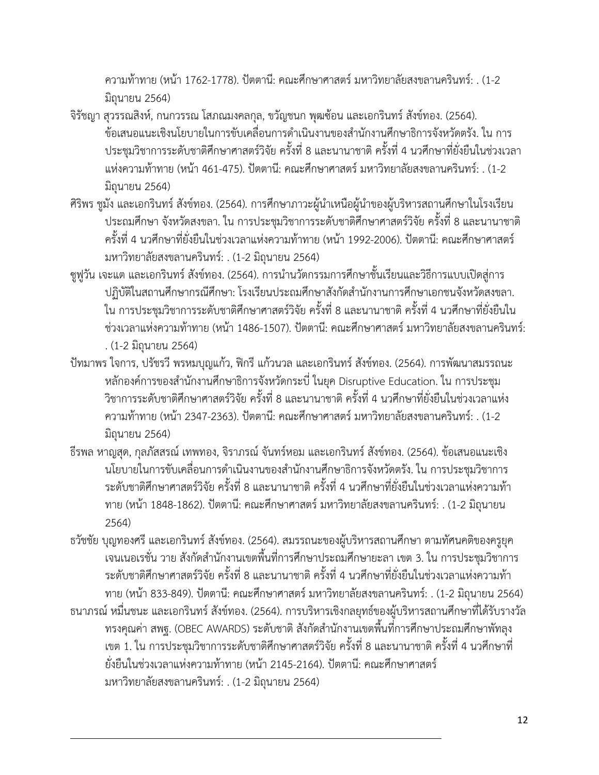ความท้าทาย (หน้า 1762-1778). ปัตตานี: คณะศึกษาศาสตร์ มหาวิทยาลัยสงขลานครินทร์: . (1-2 มิถุนายน 2564)

- จิรัชญา สุวรรณสิงห์, กนกวรรณ โสภณมงคลกุล, ขวัญชนก พุฒซ้อน และเอกรินทร์ สังข์ทอง. (2564). ข้อเสนอแนะเชิงนโยบายในการขับเคลื่อนการดำเนินงานของสำนักงานศึกษาธิการจังหวัดตรัง. ใน การ ประชุมวิชาการระดับชาติศึกษาศาสตร์วิจัย ครั้งที่ 8 และนานาชาติ ครั้งที่ 4 นวศึกษาที่ยั่งยืนในช่วงเวลา แห่งความท้าทาย (หน้า 461-475). ปัตตานี: คณะศึกษาศาสตร์ มหาวิทยาลัยสงขลานครินทร์: . (1-2 มิถุนายน 2564)
- ศิริพร ชูมัง และเอกรินทร์ สังข์ทอง. (2564). การศึกษาภาวะผู้นำเหนือผู้นำของผู้บริหารสถานศึกษาในโรงเรียน ประถมศึกษา จังหวัดสงขลา. ใน การประชุมวิชาการระดับชาติศึกษาศาสตร์วิจัย ครั้งที่ 8 และนานาชาติ ครั้งที่ 4 นวศึกษาที่ยั่งยืนในช่วงเวลาแห่งความท้าทาย (หน้า 1992-2006). ปัตตานี: คณะศึกษาศาสตร์ มหาวิทยาลัยสงขลานครินทร์: . (1-2 มิถุนายน 2564)
- ซูฟูวัน เจะแต และเอกรินทร์ สังข์ทอง. (2564). การนำนวัตกรรมการศึกษาชั้นเรียนและวิธีการแบบเปิดสู่การ ปฏิบัติในสถานศึกษากรณีศึกษา: โรงเรียนประถมศึกษาสังกัดสำนักงานการศึกษาเอกชนจังหวัดสงขลา. ใน การประชุมวิชาการระดับชาติศึกษาศาสตร์วิจัย ครั้งที่ 8 และนานาชาติ ครั้งที่ 4 นวศึกษาที่ยั่งยืนใน ช่วงเวลาแห่งความท้าทาย (หน้า 1486-1507). ปัตตานี: คณะศึกษาศาสตร์ มหาวิทยาลัยสงขลานครินทร์: . (1-2 มิถุนายน 2564)
- ปัทมาพร ใจการ, ปรัชรวี พรหมบุญแก้ว, ฟิกรี แก้วนวล และเอกรินทร์ สังข์ทอง. (2564). การพัฒนาสมรรถนะ หลักองค์การของสำนักงานศึกษาธิการจังหวัดกระบี่ ในยุค Disruptive Education. ใน การประชุม วิชาการระดับชาติศึกษาศาสตร์วิจัย ครั้งที่ 8 และนานาชาติ ครั้งที่ 4 นวศึกษาที่ยั่งยืนในช่วงเวลาแห่ง ความท้าทาย (หน้า 2347-2363). ปัตตานี: คณะศึกษาศาสตร์ มหาวิทยาลัยสงขลานครินทร์: . (1-2 มิถุนายน 2564)
- ธีรพล หาญสุด, กุลภัสสรณ์ เทพทอง, จิราภรณ์ จันทร์หอม และเอกรินทร์ สังข์ทอง. (2564). ข้อเสนอแนะเชิง ้นโยบายในการขับเคลื่อนการดำเนินงานของสำนักงานศึกษาธิการจังหวัดตรัง. ใน การประชุมวิชาการ ระดับชาติศึกษาศาสตร์วิจัย ครั้งที่ 8 และนานาชาติ ครั้งที่ 4 นวศึกษาที่ยั่งยืนในช่วงเวลาแห่งความท้า ทาย (หน้า 1848-1862). ปัตตานี: คณะศึกษาศาสตร์ มหาวิทยาลัยสงขลานครินทร์: . (1-2 มิถุนายน 2564)
- ธวัชชัย บุญทองศรี และเอกรินทร์ สังข์ทอง. (2564). สมรรถนะของผู้บริหารสถานศึกษา ตามทัศนคติของครูยุค ้ เจนเนอเรชั่น วาย สังกัดสำนักงานเขตพื้นที่การศึกษาประถมศึกษายะลา เขต 3. ใน การประชุมวิชาการ ระดับชาติศึกษาศาสตร์วิจัย ครั้งที่ 8 และนานาชาติ ครั้งที่ 4 นวศึกษาที่ยั่งยืนในช่วงเวลาแห่งความท้า ทาย (หน้า 833-849). ปัตตานี: คณะศึกษาศาสตร์ มหาวิทยาลัยสงขลานครินทร์: . (1-2 มิถุนายน 2564)
- ธนาภรณ์ หมื่นชนะ และเอกรินทร์ สังข์ทอง. (2564). การบริหารเชิงกลยุทธ์ของผู้บริหารสถานศึกษาที่ได้รับรางวัล ิ ทรงคุณค่า สพฐ. (OBEC AWARDS) ระดับชาติ สังกัดสำนักงานเขตพื้นที่การศึกษาประถมศึกษาพัทลุง เขต 1. ใน การประชุมวิชาการระดับชาติศึกษาศาสตร์วิจัย ครั้งที่ 8 และนานาชาติ ครั้งที่ 4 นวศึกษาที่ ยั่งยืนในช่วงเวลาแห่งความท้าทาย (หน้า 2145-2164). ปัตตานี: คณะศึกษาศาสตร์ มหาวิทยาลัยสงขลานครินทร์: . (1-2 มิถุนายน 2564)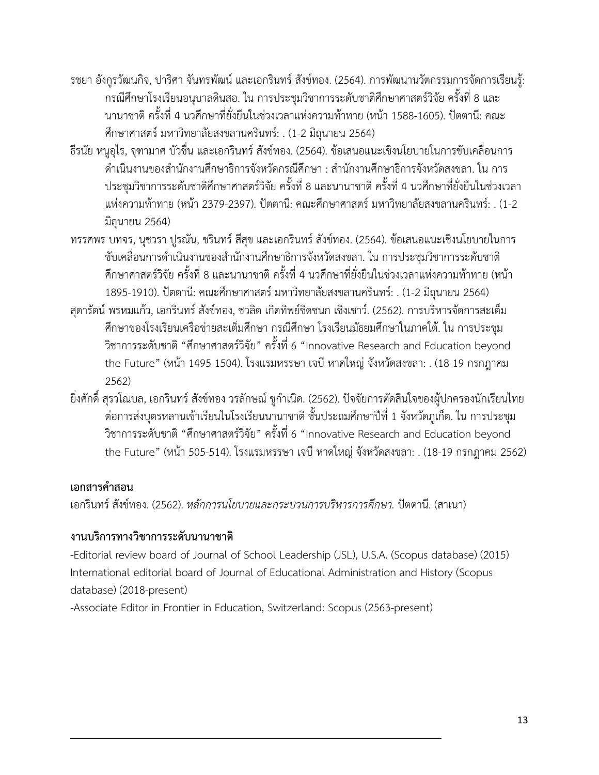- รชยา อังกูรวัฒนกิจ, ปาริศา จันทรพัฒน์ และเอกรินทร์ สังข์ทอง. (2564). การพัฒนานวัตกรรมการจัดการเรียนรู้: กรณีศึกษาโรงเรียนอนุบาลดินสอ. ใน การประชุมวิชาการระดับชาติศึกษาศาสตร์วิจัย ครั้งที่ 8 และ นานาชาติ ครั้งที่ 4 นวศึกษาที่ยั่งยืนในช่วงเวลาแห่งความท้าทาย (หน้า 1588-1605). ปัตตานี: คณะ ศึกษาศาสตร์ มหาวิทยาลัยสงขลานครินทร์: . (1-2 มิถุนายน 2564)
- ธีรนัย หนูอุไร, จุฑามาศ บัวชื่น และเอกรินทร์ สังข์ทอง. (2564). ข้อเสนอแนะเชิงนโยบายในการขับเคลื่อนการ ์ ดำเนินงานของสำนักงานศึกษาธิการจังหวัดกรณีศึกษา : สำนักงานศึกษาธิการจังหวัดสงขลา. ใน การ ประชุมวิชาการระดับชาติศึกษาศาสตร์วิจัย ครั้งที่ 8 และนานาชาติ ครั้งที่ 4 นวศึกษาที่ยั่งยืนในช่วงเวลา แห่งความท้าทาย (หน้า 2379-2397). ปัตตานี: คณะศึกษาศาสตร์ มหาวิทยาลัยสงขลานครินทร์: . (1-2 มิถุนายน 2564)
- ทรรศพร บทจร, นุชวรา ปูรณัน, ชรินทร์ สีสุข และเอกรินทร์ สังข์ทอง. (2564). ข้อเสนอแนะเชิงนโยบายในการ ขับเคลื่อนการดำเนินงานของสำนักงานศึกษาธิการจังหวัดสงขลา. ใน การประชุมวิชาการระดับชาติ ศึกษาศาสตร์วิจัย ครั้งที่ 8 และนานาชาติ ครั้งที่ 4 นวศึกษาที่ยั่งยืนในช่วงเวลาแห่งความท้าทาย (หน้า 1895-1910). ปัตตานี: คณะศึกษาศาสตร์ มหาวิทยาลัยสงขลานครินทร์: . (1-2 มิถุนายน 2564)
- สุดารัตน์ พรหมแก้ว, เอกรินทร์ สังข์ทอง, ชวลิต เกิดทิพย์ชิดชนก เชิงเชาว์. (2562). การบริหารจัดการสะเต็ม ศึกษาของโรงเรียนเครือข่ายสะเต็มศึกษา กรณีศึกษา โรงเรียนมัธยมศึกษาในภาคใต้. ใน การประชุม วิชาการระดับชาติ "ศึกษาศาสตร์วิจัย" ครั้งที่ 6 "Innovative Research and Education beyond the Future" (หน้า 1495-1504). โรงแรมหรรษา เจบี หาดใหญ่ จังหวัดสงขลา: . (18-19 กรกฎาคม 2562)
- ยิ่งศักดิ์ สุรวโณบล, เอกรินทร์ สังข์ทอง วรลักษณ์ ชูกำเนิด. (2562). ปัจจัยการตัดสินใจของผู้ปกครองนักเรียนไทย ต่อการส่งบุตรหลานเข้าเรียนในโรงเรียนนานาชาติ ชั้นประถมศึกษาปีที่ 1 จังหวัดภูเก็ต. ใน การประชุม วิชาการระดับชาติ "ศึกษาศาสตร์วิจัย" ครั้งที่ 6 "Innovative Research and Education beyond the Future" (หน้า 505-514). โรงแรมหรรษา เจบี หาดใหญ่ จังหวัดสงขลา: . (18-19 กรกฎาคม 2562)

## เอกสารคำส<sup>ุ</sup>ลน

เอกรินทร์สังข์ทอง. (2562). *หลักการนโยบายและกระบวนการบริหารการศึกษา.* ปัตตานี. (สาเนา)

# **งานบริการทางวิชาการระดับนานาชาติ**

-Editorial review board of Journal of School Leadership (JSL), U.S.A. (Scopus database) (2015) International editorial board of Journal of Educational Administration and History (Scopus database) (2018-present)

-Associate Editor in Frontier in Education, Switzerland: Scopus (2563-present)